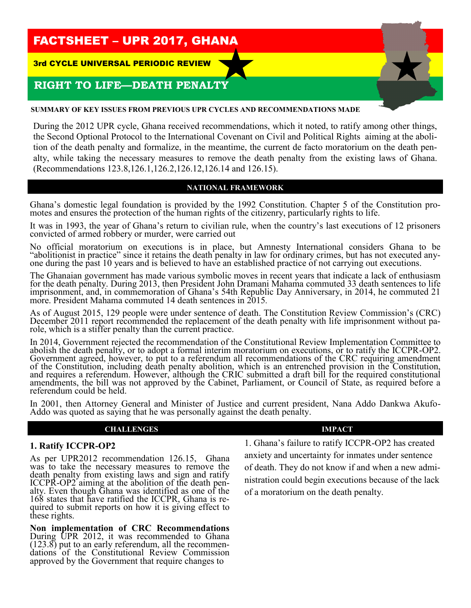# FACTSHEET – UPR 2017, GHANA

3rd CYCLE UNIVERSAL PERIODIC REVIEW

## **RIGHT TO LIFE—DEATH PENALTY**

### **SUMMARY OF KEY ISSUES FROM PREVIOUS UPR CYCLES AND RECOMMENDATIONS MADE**

During the 2012 UPR cycle, Ghana received recommendations, which it noted, to ratify among other things, the Second Optional Protocol to the International Covenant on Civil and Political Rights aiming at the abolition of the death penalty and formalize, in the meantime, the current de facto moratorium on the death penalty, while taking the necessary measures to remove the death penalty from the existing laws of Ghana. (Recommendations 123.8,126.1,126.2,126.12,126.14 and 126.15).

## **NATIONAL FRAMEWORK**

Ghana's domestic legal foundation is provided by the 1992 Constitution. Chapter 5 of the Constitution promotes and ensures the protection of the human rights of the citizenry, particularly rights to life.

It was in 1993, the year of Ghana's return to civilian rule, when the country's last executions of 12 prisoners convicted of armed robbery or murder, were carried out

No official moratorium on executions is in place, but Amnesty International considers Ghana to be "abolitionist in practice" since it retains the death penalty in law for ordinary crimes, but has not executed anyone during the past 10 years and is believed to have an established practice of not carrying out executions.

The Ghanaian government has made various symbolic moves in recent years that indicate a lack of enthusiasm for the death penalty. During 2013, then President John Dramani Mahama commuted 33 death sentences to life imprisonment, and, in commemoration of Ghana's 54th Republic Day Anniversary, in 2014, he commuted 21 more. President Mahama commuted 14 death sentences in 2015*.*

As of August 2015, 129 people were under sentence of death. The Constitution Review Commission's (CRC) December 2011 report recommended the replacement of the death penalty with life imprisonment without parole, which is a stiffer penalty than the current practice.

In 2014, Government rejected the recommendation of the Constitutional Review Implementation Committee to abolish the death penalty, or to adopt a formal interim moratorium on executions, or to ratify the ICCPR-OP2. Government agreed, however, to put to a referendum all recommendations of the CRC requiring amendment of the Constitution, including death penalty abolition, which is an entrenched provision in the Constitution, and requires a referendum. However, although the CRIC submitted a draft bill for the required constitutional amendments, the bill was not approved by the Cabinet, Parliament, or Council of State, as required before a referendum could be held.

In 2001, then Attorney General and Minister of Justice and current president, Nana Addo Dankwa Akufo-Addo was quoted as saying that he was personally against the death penalty.

### **CHALLENGES IMPACT**

## **1. Ratify ICCPR-OP2**

As per UPR2012 recommendation 126.15, Ghana was to take the necessary measures to remove the death penalty from existing laws and sign and ratify ICCPR-OP2 aiming at the abolition of the death penalty. Even though Ghana was identified as one of the 168 states that have ratified the ICCPR, Ghana is required to submit reports on how it is giving effect to these rights.

**Non implementation of CRC Recommendations**  During UPR 2012, it was recommended to Ghana (123.8) put to an early referendum, all the recommendations of the Constitutional Review Commission approved by the Government that require changes to

1. Ghana's failure to ratify ICCPR-OP2 has created anxiety and uncertainty for inmates under sentence of death. They do not know if and when a new administration could begin executions because of the lack of a moratorium on the death penalty.